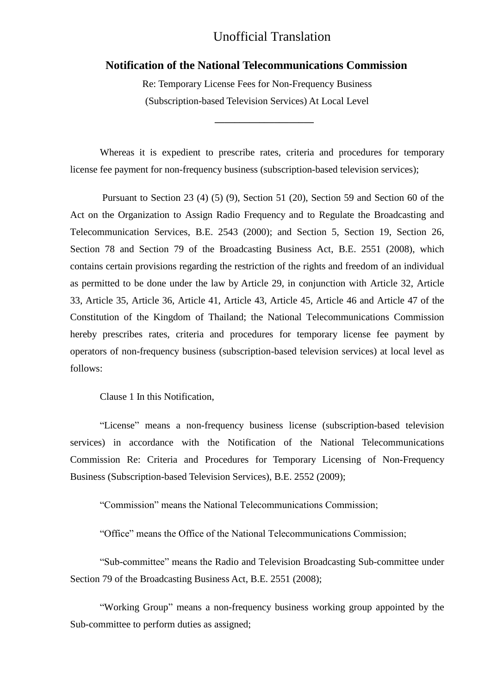#### **Notification of the National Telecommunications Commission**

Re: Temporary License Fees for Non-Frequency Business (Subscription-based Television Services) At Local Level

**\_\_\_\_\_\_\_\_\_\_\_\_\_\_\_\_\_\_\_\_**

Whereas it is expedient to prescribe rates, criteria and procedures for temporary license fee payment for non-frequency business (subscription-based television services);

Pursuant to Section 23 (4) (5) (9), Section 51 (20), Section 59 and Section 60 of the Act on the Organization to Assign Radio Frequency and to Regulate the Broadcasting and Telecommunication Services, B.E. 2543 (2000); and Section 5, Section 19, Section 26, Section 78 and Section 79 of the Broadcasting Business Act, B.E. 2551 (2008), which contains certain provisions regarding the restriction of the rights and freedom of an individual as permitted to be done under the law by Article 29, in conjunction with Article 32, Article 33, Article 35, Article 36, Article 41, Article 43, Article 45, Article 46 and Article 47 of the Constitution of the Kingdom of Thailand; the National Telecommunications Commission hereby prescribes rates, criteria and procedures for temporary license fee payment by operators of non-frequency business (subscription-based television services) at local level as follows:

Clause 1 In this Notification,

"License" means a non-frequency business license (subscription-based television services) in accordance with the Notification of the National Telecommunications Commission Re: Criteria and Procedures for Temporary Licensing of Non-Frequency Business (Subscription-based Television Services), B.E. 2552 (2009);

"Commission" means the National Telecommunications Commission;

"Office" means the Office of the National Telecommunications Commission;

"Sub-committee" means the Radio and Television Broadcasting Sub-committee under Section 79 of the Broadcasting Business Act, B.E. 2551 (2008);

"Working Group" means a non-frequency business working group appointed by the Sub-committee to perform duties as assigned;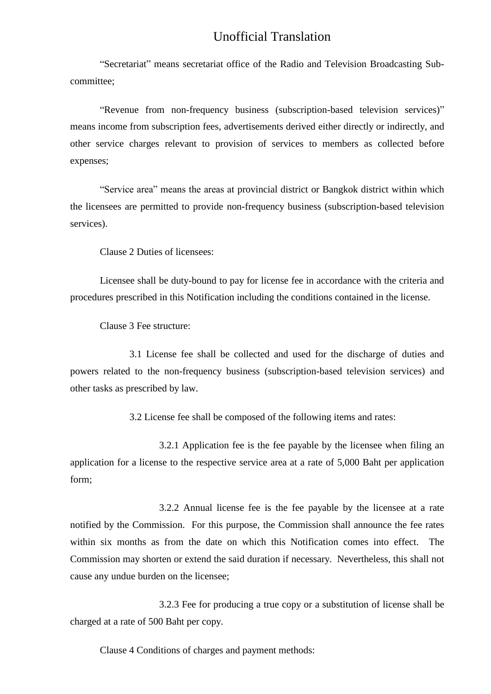"Secretariat" means secretariat office of the Radio and Television Broadcasting Subcommittee;

"Revenue from non-frequency business (subscription-based television services)" means income from subscription fees, advertisements derived either directly or indirectly, and other service charges relevant to provision of services to members as collected before expenses;

"Service area" means the areas at provincial district or Bangkok district within which the licensees are permitted to provide non-frequency business (subscription-based television services).

Clause 2 Duties of licensees:

Licensee shall be duty-bound to pay for license fee in accordance with the criteria and procedures prescribed in this Notification including the conditions contained in the license.

Clause 3 Fee structure:

3.1 License fee shall be collected and used for the discharge of duties and powers related to the non-frequency business (subscription-based television services) and other tasks as prescribed by law.

3.2 License fee shall be composed of the following items and rates:

3.2.1 Application fee is the fee payable by the licensee when filing an application for a license to the respective service area at a rate of 5,000 Baht per application form;

3.2.2 Annual license fee is the fee payable by the licensee at a rate notified by the Commission. For this purpose, the Commission shall announce the fee rates within six months as from the date on which this Notification comes into effect. The Commission may shorten or extend the said duration if necessary. Nevertheless, this shall not cause any undue burden on the licensee;

3.2.3 Fee for producing a true copy or a substitution of license shall be charged at a rate of 500 Baht per copy.

Clause 4 Conditions of charges and payment methods: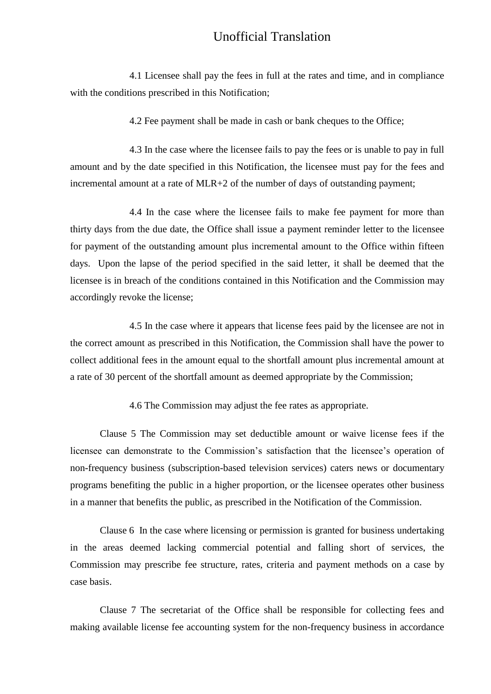4.1 Licensee shall pay the fees in full at the rates and time, and in compliance with the conditions prescribed in this Notification;

4.2 Fee payment shall be made in cash or bank cheques to the Office;

4.3 In the case where the licensee fails to pay the fees or is unable to pay in full amount and by the date specified in this Notification, the licensee must pay for the fees and incremental amount at a rate of MLR+2 of the number of days of outstanding payment;

4.4 In the case where the licensee fails to make fee payment for more than thirty days from the due date, the Office shall issue a payment reminder letter to the licensee for payment of the outstanding amount plus incremental amount to the Office within fifteen days. Upon the lapse of the period specified in the said letter, it shall be deemed that the licensee is in breach of the conditions contained in this Notification and the Commission may accordingly revoke the license;

4.5 In the case where it appears that license fees paid by the licensee are not in the correct amount as prescribed in this Notification, the Commission shall have the power to collect additional fees in the amount equal to the shortfall amount plus incremental amount at a rate of 30 percent of the shortfall amount as deemed appropriate by the Commission;

4.6 The Commission may adjust the fee rates as appropriate.

Clause 5 The Commission may set deductible amount or waive license fees if the licensee can demonstrate to the Commission's satisfaction that the licensee's operation of non-frequency business (subscription-based television services) caters news or documentary programs benefiting the public in a higher proportion, or the licensee operates other business in a manner that benefits the public, as prescribed in the Notification of the Commission.

Clause 6 In the case where licensing or permission is granted for business undertaking in the areas deemed lacking commercial potential and falling short of services, the Commission may prescribe fee structure, rates, criteria and payment methods on a case by case basis.

Clause 7 The secretariat of the Office shall be responsible for collecting fees and making available license fee accounting system for the non-frequency business in accordance